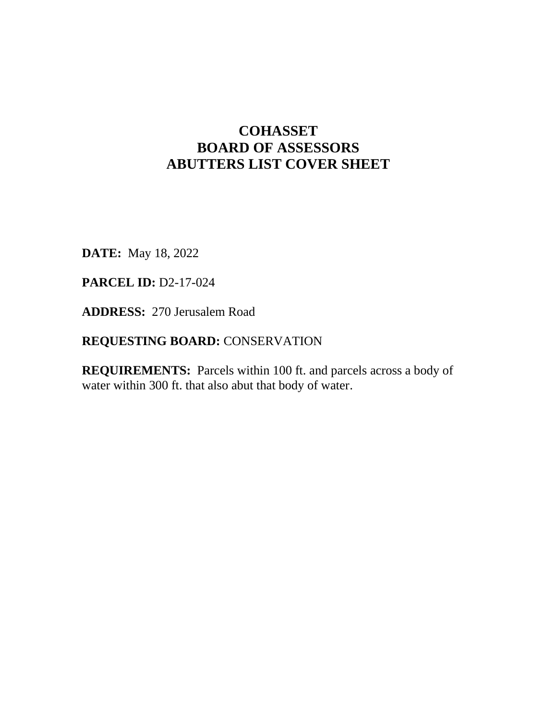## **COHASSET BOARD OF ASSESSORS ABUTTERS LIST COVER SHEET**

**DATE:** May 18, 2022

**PARCEL ID:** D2-17-024

**ADDRESS:** 270 Jerusalem Road

## **REQUESTING BOARD:** CONSERVATION

**REQUIREMENTS:** Parcels within 100 ft. and parcels across a body of water within 300 ft. that also abut that body of water.